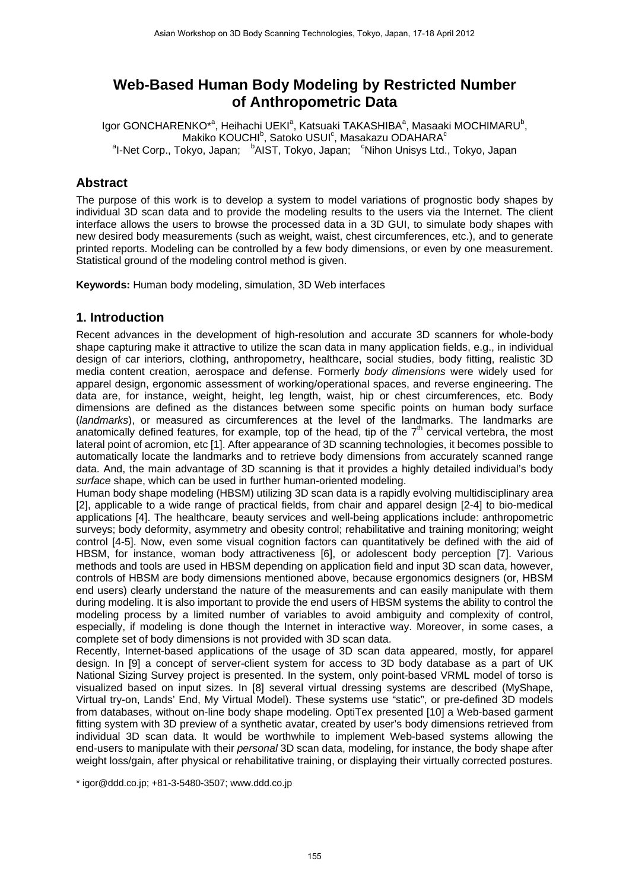# **Web-Based Human Body Modeling by Restricted Number of Anthropometric Data**

Igor GONCHARENKO<sup>\*a</sup>, Heihachi UEKI<sup>a</sup>, Katsuaki TAKASHIBA<sup>a</sup>, Masaaki MOCHIMARU<sup>b</sup>, Makiko KOUCHI $^{\text{b}}$ , Satoko USUI $^{\text{c}}$ , Masakazu ODAHARA $^{\text{c}}$ <sup>a</sup>l-Net Corp., Tokyo, Japan; bAIST, Tokyo, Japan; cNihon Unisys Ltd., Tokyo, Japan

## **Abstract**

The purpose of this work is to develop a system to model variations of prognostic body shapes by individual 3D scan data and to provide the modeling results to the users via the Internet. The client interface allows the users to browse the processed data in a 3D GUI, to simulate body shapes with new desired body measurements (such as weight, waist, chest circumferences, etc.), and to generate printed reports. Modeling can be controlled by a few body dimensions, or even by one measurement. Statistical ground of the modeling control method is given.

**Keywords:** Human body modeling, simulation, 3D Web interfaces

### **1. Introduction**

Recent advances in the development of high-resolution and accurate 3D scanners for whole-body shape capturing make it attractive to utilize the scan data in many application fields, e.g., in individual design of car interiors, clothing, anthropometry, healthcare, social studies, body fitting, realistic 3D media content creation, aerospace and defense. Formerly *body dimensions* were widely used for apparel design, ergonomic assessment of working/operational spaces, and reverse engineering. The data are, for instance, weight, height, leg length, waist, hip or chest circumferences, etc. Body dimensions are defined as the distances between some specific points on human body surface (*landmarks*), or measured as circumferences at the level of the landmarks. The landmarks are anatomically defined features, for example, top of the head, tip of the  $7<sup>th</sup>$  cervical vertebra, the most lateral point of acromion, etc [1]. After appearance of 3D scanning technologies, it becomes possible to automatically locate the landmarks and to retrieve body dimensions from accurately scanned range data. And, the main advantage of 3D scanning is that it provides a highly detailed individual's body *surface* shape, which can be used in further human-oriented modeling.

Human body shape modeling (HBSM) utilizing 3D scan data is a rapidly evolving multidisciplinary area [2], applicable to a wide range of practical fields, from chair and apparel design [2-4] to bio-medical applications [4]. The healthcare, beauty services and well-being applications include: anthropometric surveys; body deformity, asymmetry and obesity control; rehabilitative and training monitoring; weight control [4-5]. Now, even some visual cognition factors can quantitatively be defined with the aid of HBSM, for instance, woman body attractiveness [6], or adolescent body perception [7]. Various methods and tools are used in HBSM depending on application field and input 3D scan data, however, controls of HBSM are body dimensions mentioned above, because ergonomics designers (or, HBSM end users) clearly understand the nature of the measurements and can easily manipulate with them during modeling. It is also important to provide the end users of HBSM systems the ability to control the modeling process by a limited number of variables to avoid ambiguity and complexity of control, especially, if modeling is done though the Internet in interactive way. Moreover, in some cases, a complete set of body dimensions is not provided with 3D scan data.

Recently, Internet-based applications of the usage of 3D scan data appeared, mostly, for apparel design. In [9] a concept of server-client system for access to 3D body database as a part of UK National Sizing Survey project is presented. In the system, only point-based VRML model of torso is visualized based on input sizes. In [8] several virtual dressing systems are described (MyShape, Virtual try-on, Lands' End, My Virtual Model). These systems use "static", or pre-defined 3D models from databases, without on-line body shape modeling. OptiTex presented [10] a Web-based garment fitting system with 3D preview of a synthetic avatar, created by user's body dimensions retrieved from individual 3D scan data. It would be worthwhile to implement Web-based systems allowing the end-users to manipulate with their *personal* 3D scan data, modeling, for instance, the body shape after weight loss/gain, after physical or rehabilitative training, or displaying their virtually corrected postures.

\* igor@ddd.co.jp; +81-3-5480-3507; www.ddd.co.jp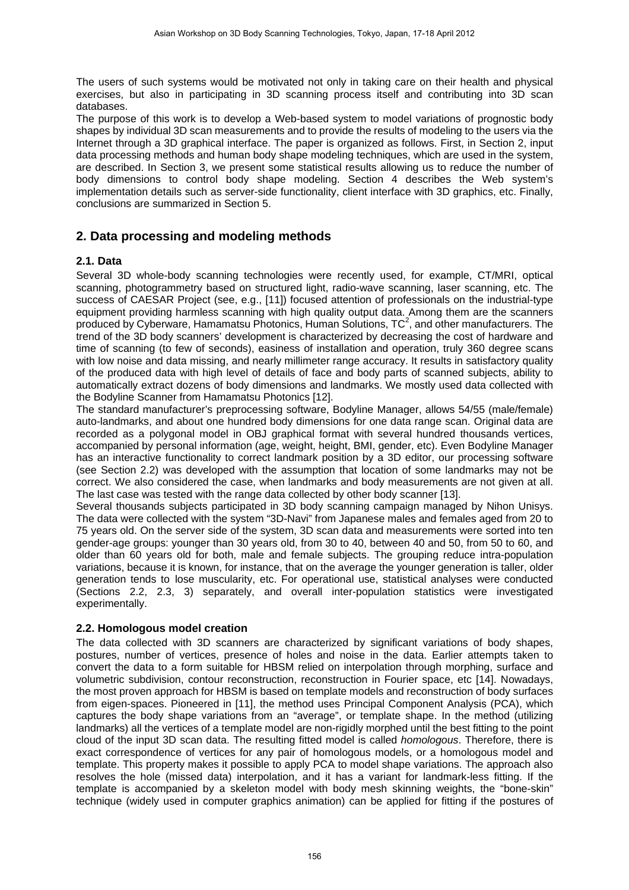The users of such systems would be motivated not only in taking care on their health and physical exercises, but also in participating in 3D scanning process itself and contributing into 3D scan databases.

The purpose of this work is to develop a Web-based system to model variations of prognostic body shapes by individual 3D scan measurements and to provide the results of modeling to the users via the Internet through a 3D graphical interface. The paper is organized as follows. First, in Section 2, input data processing methods and human body shape modeling techniques, which are used in the system, are described. In Section 3, we present some statistical results allowing us to reduce the number of body dimensions to control body shape modeling. Section 4 describes the Web system's implementation details such as server-side functionality, client interface with 3D graphics, etc. Finally, conclusions are summarized in Section 5.

# **2. Data processing and modeling methods**

### **2.1. Data**

Several 3D whole-body scanning technologies were recently used, for example, CT/MRI, optical scanning, photogrammetry based on structured light, radio-wave scanning, laser scanning, etc. The success of CAESAR Project (see, e.g., [11]) focused attention of professionals on the industrial-type equipment providing harmless scanning with high quality output data. Among them are the scanners produced by Cyberware, Hamamatsu Photonics, Human Solutions,  $TC^2$ , and other manufacturers. The trend of the 3D body scanners' development is characterized by decreasing the cost of hardware and time of scanning (to few of seconds), easiness of installation and operation, truly 360 degree scans with low noise and data missing, and nearly millimeter range accuracy. It results in satisfactory quality of the produced data with high level of details of face and body parts of scanned subjects, ability to automatically extract dozens of body dimensions and landmarks. We mostly used data collected with the Bodyline Scanner from Hamamatsu Photonics [12].

The standard manufacturer's preprocessing software, Bodyline Manager, allows 54/55 (male/female) auto-landmarks, and about one hundred body dimensions for one data range scan. Original data are recorded as a polygonal model in OBJ graphical format with several hundred thousands vertices, accompanied by personal information (age, weight, height, BMI, gender, etc). Even Bodyline Manager has an interactive functionality to correct landmark position by a 3D editor, our processing software (see Section 2.2) was developed with the assumption that location of some landmarks may not be correct. We also considered the case, when landmarks and body measurements are not given at all. The last case was tested with the range data collected by other body scanner [13].

Several thousands subjects participated in 3D body scanning campaign managed by Nihon Unisys. The data were collected with the system "3D-Navi" from Japanese males and females aged from 20 to 75 years old. On the server side of the system, 3D scan data and measurements were sorted into ten gender-age groups: younger than 30 years old, from 30 to 40, between 40 and 50, from 50 to 60, and older than 60 years old for both, male and female subjects. The grouping reduce intra-population variations, because it is known, for instance, that on the average the younger generation is taller, older generation tends to lose muscularity, etc. For operational use, statistical analyses were conducted (Sections 2.2, 2.3, 3) separately, and overall inter-population statistics were investigated experimentally.

### **2.2. Homologous model creation**

The data collected with 3D scanners are characterized by significant variations of body shapes, postures, number of vertices, presence of holes and noise in the data. Earlier attempts taken to convert the data to a form suitable for HBSM relied on interpolation through morphing, surface and volumetric subdivision, contour reconstruction, reconstruction in Fourier space, etc [14]. Nowadays, the most proven approach for HBSM is based on template models and reconstruction of body surfaces from eigen-spaces. Pioneered in [11], the method uses Principal Component Analysis (PCA), which captures the body shape variations from an "average", or template shape. In the method (utilizing landmarks) all the vertices of a template model are non-rigidly morphed until the best fitting to the point cloud of the input 3D scan data. The resulting fitted model is called *homologous*. Therefore, there is exact correspondence of vertices for any pair of homologous models, or a homologous model and template. This property makes it possible to apply PCA to model shape variations. The approach also resolves the hole (missed data) interpolation, and it has a variant for landmark-less fitting. If the template is accompanied by a skeleton model with body mesh skinning weights, the "bone-skin" technique (widely used in computer graphics animation) can be applied for fitting if the postures of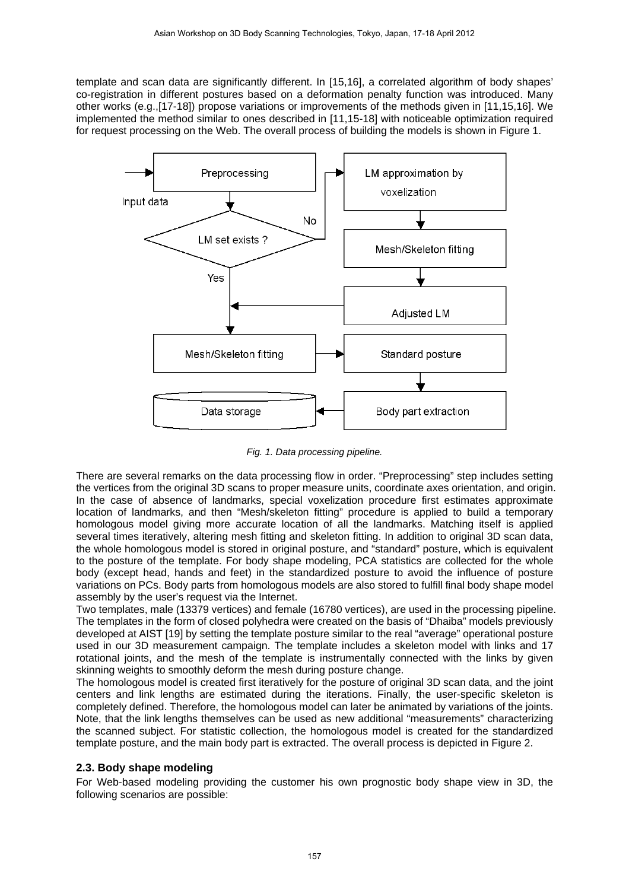template and scan data are significantly different. In [15,16], a correlated algorithm of body shapes' co-registration in different postures based on a deformation penalty function was introduced. Many other works (e.g.,[17-18]) propose variations or improvements of the methods given in [11,15,16]. We implemented the method similar to ones described in [11,15-18] with noticeable optimization required for request processing on the Web. The overall process of building the models is shown in Figure 1.



*Fig. 1. Data processing pipeline.*

There are several remarks on the data processing flow in order. "Preprocessing" step includes setting the vertices from the original 3D scans to proper measure units, coordinate axes orientation, and origin. In the case of absence of landmarks, special voxelization procedure first estimates approximate location of landmarks, and then "Mesh/skeleton fitting" procedure is applied to build a temporary homologous model giving more accurate location of all the landmarks. Matching itself is applied several times iteratively, altering mesh fitting and skeleton fitting. In addition to original 3D scan data, the whole homologous model is stored in original posture, and "standard" posture, which is equivalent to the posture of the template. For body shape modeling, PCA statistics are collected for the whole body (except head, hands and feet) in the standardized posture to avoid the influence of posture variations on PCs. Body parts from homologous models are also stored to fulfill final body shape model assembly by the user's request via the Internet.

Two templates, male (13379 vertices) and female (16780 vertices), are used in the processing pipeline. The templates in the form of closed polyhedra were created on the basis of "Dhaiba" models previously developed at AIST [19] by setting the template posture similar to the real "average" operational posture used in our 3D measurement campaign. The template includes a skeleton model with links and 17 rotational joints, and the mesh of the template is instrumentally connected with the links by given skinning weights to smoothly deform the mesh during posture change.

The homologous model is created first iteratively for the posture of original 3D scan data, and the joint centers and link lengths are estimated during the iterations. Finally, the user-specific skeleton is completely defined. Therefore, the homologous model can later be animated by variations of the joints. Note, that the link lengths themselves can be used as new additional "measurements" characterizing the scanned subject. For statistic collection, the homologous model is created for the standardized template posture, and the main body part is extracted. The overall process is depicted in Figure 2.

#### **2.3. Body shape modeling**

For Web-based modeling providing the customer his own prognostic body shape view in 3D, the following scenarios are possible: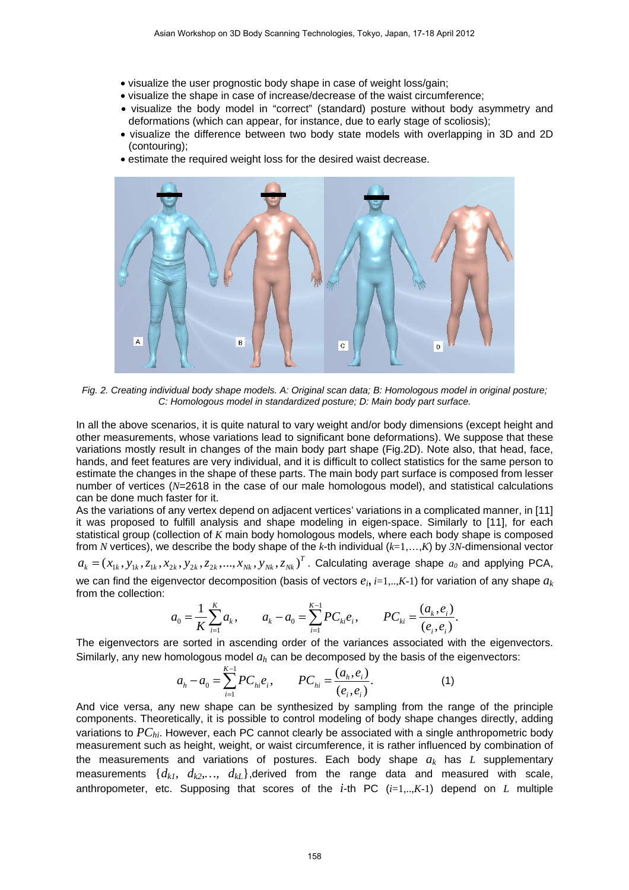- visualize the user prognostic body shape in case of weight loss/gain;
- visualize the shape in case of increase/decrease of the waist circumference;
- visualize the body model in "correct" (standard) posture without body asymmetry and deformations (which can appear, for instance, due to early stage of scoliosis);
- visualize the difference between two body state models with overlapping in 3D and 2D (contouring);
- estimate the required weight loss for the desired waist decrease.



*Fig. 2. Creating individual body shape models. A: Original scan data; B: Homologous model in original posture; C: Homologous model in standardized posture; D: Main body part surface.*

In all the above scenarios, it is quite natural to vary weight and/or body dimensions (except height and other measurements, whose variations lead to significant bone deformations). We suppose that these variations mostly result in changes of the main body part shape (Fig.2D). Note also, that head, face, hands, and feet features are very individual, and it is difficult to collect statistics for the same person to estimate the changes in the shape of these parts. The main body part surface is composed from lesser number of vertices (*N*=2618 in the case of our male homologous model), and statistical calculations can be done much faster for it.

As the variations of any vertex depend on adjacent vertices' variations in a complicated manner, in [11] it was proposed to fulfill analysis and shape modeling in eigen-space. Similarly to [11], for each statistical group (collection of *K* main body homologous models, where each body shape is composed from *N* vertices), we describe the body shape of the *k*-th individual (*k*=1,…,*K*) by *3N*-dimensional vector  $a_k = (x_{1k}, y_{1k}, z_{1k}, x_{2k}, y_{2k}, z_{2k}, ..., x_{Nk}, y_{Nk}, z_{Nk})^T$ . Calculating average shape  $a_0$  and applying PCA,

we can find the eigenvector decomposition (basis of vectors  $e_i$ ,  $i=1,...,K-1$ ) for variation of any shape  $a_k$ from the collection:

$$
a_0 = \frac{1}{K} \sum_{i=1}^K a_i, \qquad a_k - a_0 = \sum_{i=1}^{K-1} PC_{ki} e_i, \qquad PC_{ki} = \frac{(a_k, e_i)}{(e_i, e_i)}.
$$

The eigenvectors are sorted in ascending order of the variances associated with the eigenvectors. Similarly, any new homologous model *ah* can be decomposed by the basis of the eigenvectors:

$$
a_h - a_0 = \sum_{i=1}^{K-1} PC_{hi} e_i, \qquad PC_{hi} = \frac{(a_h, e_i)}{(e_i, e_i)}.
$$
 (1)

And vice versa, any new shape can be synthesized by sampling from the range of the principle components. Theoretically, it is possible to control modeling of body shape changes directly, adding variations to  $PC_{hi}$ . However, each PC cannot clearly be associated with a single anthropometric body measurement such as height, weight, or waist circumference, it is rather influenced by combination of the measurements and variations of postures. Each body shape *ak* has *L* supplementary measurements  $\{d_{kl}, d_{k2},..., d_{kL}\}$ , derived from the range data and measured with scale, anthropometer, etc. Supposing that scores of the *i*-th PC (*i*=1,..,*K*-1) depend on *L* multiple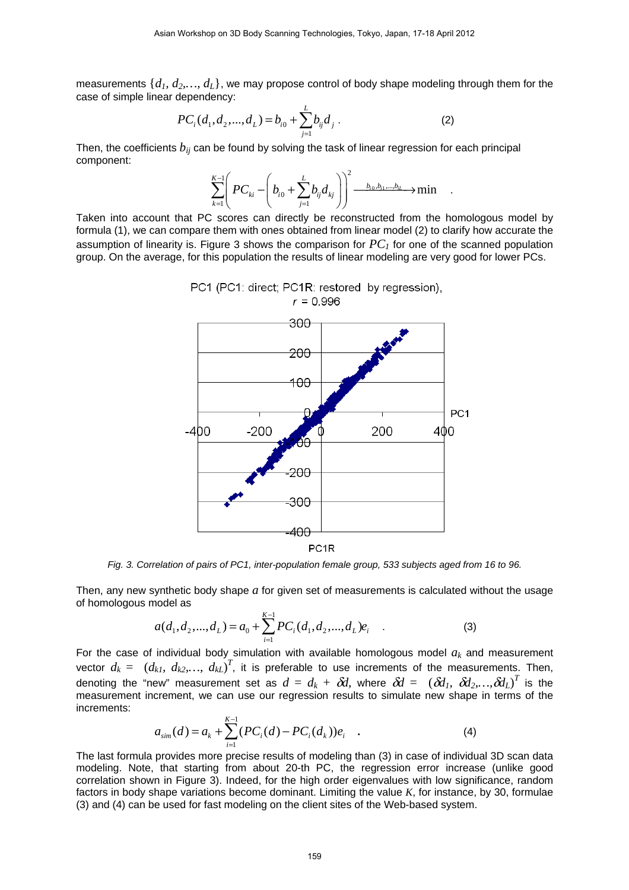measurements {*d1, d2,…, dL*}, we may propose control of body shape modeling through them for the case of simple linear dependency:

$$
PC_i(d_1, d_2, ..., d_L) = b_{i0} + \sum_{j=1}^{L} b_{ij} d_j.
$$
 (2)

Then, the coefficients  $b_{ii}$  can be found by solving the task of linear regression for each principal component:

$$
\sum_{k=1}^{K-1} \left( PC_{ki} - \left( b_{i0} + \sum_{j=1}^{L} b_{ij} d_{kj} \right) \right)^2 \xrightarrow{b_{i0}, b_{i1}, \dots, b_{iL}} \text{min} \quad .
$$

Taken into account that PC scores can directly be reconstructed from the homologous model by formula (1), we can compare them with ones obtained from linear model (2) to clarify how accurate the assumption of linearity is. Figure 3 shows the comparison for  $PC_I$  for one of the scanned population group. On the average, for this population the results of linear modeling are very good for lower PCs.

PC1 (PC1: direct; PC1R: restored by regression),



*Fig. 3. Correlation of pairs of PC1, inter-population female group, 533 subjects aged from 16 to 96.* 

Then, any new synthetic body shape *a* for given set of measurements is calculated without the usage of homologous model as

$$
a(d_1, d_2, ..., d_L) = a_0 + \sum_{i=1}^{K-1} PC_i(d_1, d_2, ..., d_L)e_i
$$
 (3)

For the case of individual body simulation with available homologous model  $a_k$  and measurement vector  $d_k = (d_{k,l}, d_{k2},..., d_{kL})^T$ , it is preferable to use increments of the measurements. Then, denoting the "new" measurement set as  $d = d_k + \delta \! d$ , where  $\delta \! d = \ (\delta \! d_l, \ \delta \! d_2,...,\delta \! d_L)^T$  is the measurement increment, we can use our regression results to simulate new shape in terms of the increments:

$$
a_{\sin}(d) = a_k + \sum_{i=1}^{K-1} (PC_i(d) - PC_i(d_k))e_i \quad . \tag{4}
$$

The last formula provides more precise results of modeling than (3) in case of individual 3D scan data modeling. Note, that starting from about 20-th PC, the regression error increase (unlike good correlation shown in Figure 3). Indeed, for the high order eigenvalues with low significance, random factors in body shape variations become dominant. Limiting the value *K*, for instance, by 30, formulae (3) and (4) can be used for fast modeling on the client sites of the Web-based system.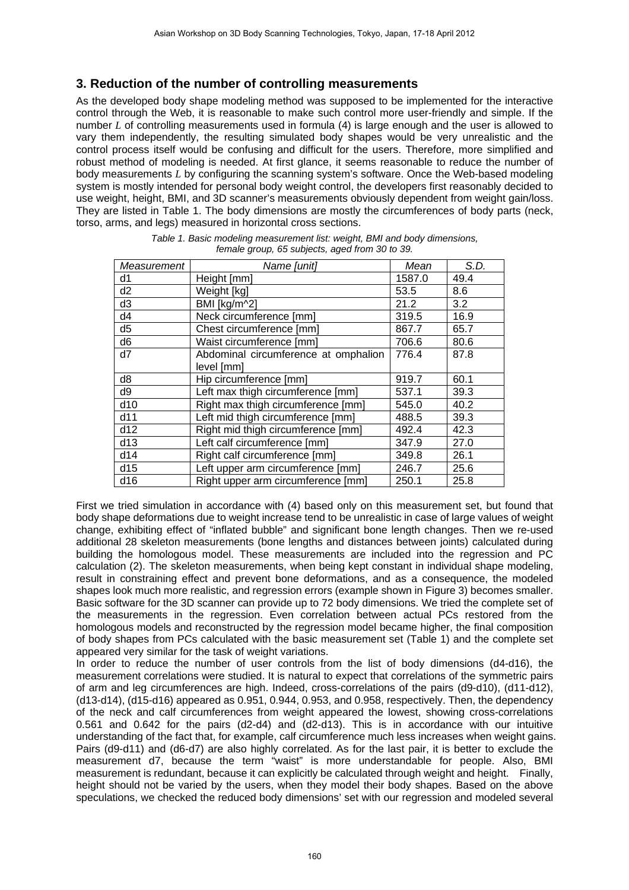# **3. Reduction of the number of controlling measurements**

As the developed body shape modeling method was supposed to be implemented for the interactive control through the Web, it is reasonable to make such control more user-friendly and simple. If the number *L* of controlling measurements used in formula (4) is large enough and the user is allowed to vary them independently, the resulting simulated body shapes would be very unrealistic and the control process itself would be confusing and difficult for the users. Therefore, more simplified and robust method of modeling is needed. At first glance, it seems reasonable to reduce the number of body measurements *L* by configuring the scanning system's software. Once the Web-based modeling system is mostly intended for personal body weight control, the developers first reasonably decided to use weight, height, BMI, and 3D scanner's measurements obviously dependent from weight gain/loss. They are listed in Table 1. The body dimensions are mostly the circumferences of body parts (neck, torso, arms, and legs) measured in horizontal cross sections.

| Name [unit]                          | Mean   | S.D. |
|--------------------------------------|--------|------|
| Height [mm]                          | 1587.0 | 49.4 |
| Weight [kg]                          | 53.5   | 8.6  |
| BMI [kg/m^2]                         | 21.2   | 3.2  |
| Neck circumference [mm]              | 319.5  | 16.9 |
| Chest circumference [mm]             | 867.7  | 65.7 |
| Waist circumference [mm]             | 706.6  | 80.6 |
| Abdominal circumference at omphalion | 776.4  | 87.8 |
| level [mm]                           |        |      |
| Hip circumference [mm]               | 919.7  | 60.1 |
| Left max thigh circumference [mm]    | 537.1  | 39.3 |
| Right max thigh circumference [mm]   | 545.0  | 40.2 |
| Left mid thigh circumference [mm]    | 488.5  | 39.3 |
| Right mid thigh circumference [mm]   | 492.4  | 42.3 |
| Left calf circumference [mm]         | 347.9  | 27.0 |
| Right calf circumference [mm]        | 349.8  | 26.1 |
| Left upper arm circumference [mm]    | 246.7  | 25.6 |
| Right upper arm circumference [mm]   | 250.1  | 25.8 |
|                                      |        |      |

| Table 1. Basic modeling measurement list: weight, BMI and body dimensions, |
|----------------------------------------------------------------------------|
| female group, 65 subjects, aged from 30 to 39.                             |

First we tried simulation in accordance with (4) based only on this measurement set, but found that body shape deformations due to weight increase tend to be unrealistic in case of large values of weight change, exhibiting effect of "inflated bubble" and significant bone length changes. Then we re-used additional 28 skeleton measurements (bone lengths and distances between joints) calculated during building the homologous model. These measurements are included into the regression and PC calculation (2). The skeleton measurements, when being kept constant in individual shape modeling, result in constraining effect and prevent bone deformations, and as a consequence, the modeled shapes look much more realistic, and regression errors (example shown in Figure 3) becomes smaller. Basic software for the 3D scanner can provide up to 72 body dimensions. We tried the complete set of the measurements in the regression. Even correlation between actual PCs restored from the homologous models and reconstructed by the regression model became higher, the final composition of body shapes from PCs calculated with the basic measurement set (Table 1) and the complete set appeared very similar for the task of weight variations.

In order to reduce the number of user controls from the list of body dimensions (d4-d16), the measurement correlations were studied. It is natural to expect that correlations of the symmetric pairs of arm and leg circumferences are high. Indeed, cross-correlations of the pairs (d9-d10), (d11-d12), (d13-d14), (d15-d16) appeared as 0.951, 0.944, 0.953, and 0.958, respectively. Then, the dependency of the neck and calf circumferences from weight appeared the lowest, showing cross-correlations 0.561 and 0.642 for the pairs (d2-d4) and (d2-d13). This is in accordance with our intuitive understanding of the fact that, for example, calf circumference much less increases when weight gains. Pairs (d9-d11) and (d6-d7) are also highly correlated. As for the last pair, it is better to exclude the measurement d7, because the term "waist" is more understandable for people. Also, BMI measurement is redundant, because it can explicitly be calculated through weight and height. Finally, height should not be varied by the users, when they model their body shapes. Based on the above speculations, we checked the reduced body dimensions' set with our regression and modeled several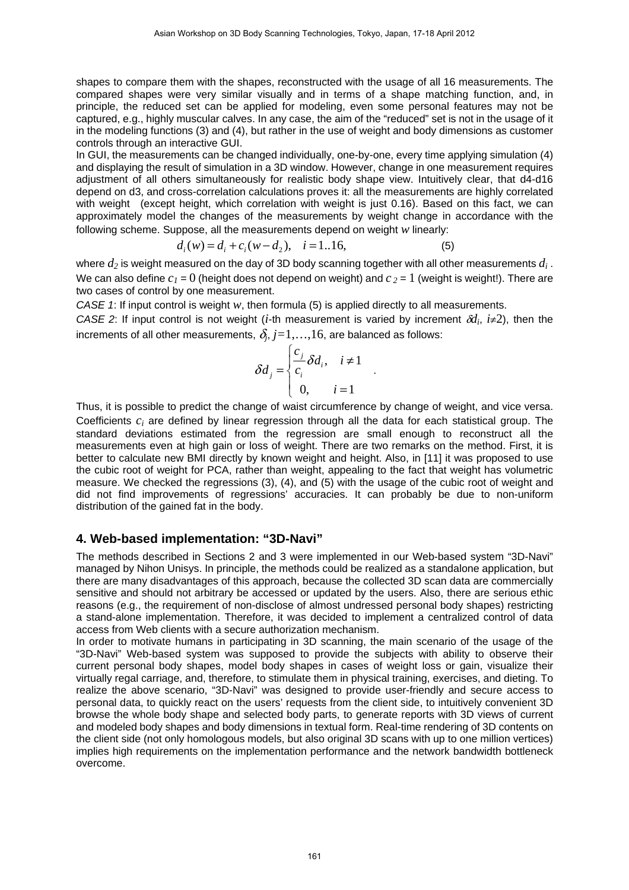shapes to compare them with the shapes, reconstructed with the usage of all 16 measurements. The compared shapes were very similar visually and in terms of a shape matching function, and, in principle, the reduced set can be applied for modeling, even some personal features may not be captured, e.g., highly muscular calves. In any case, the aim of the "reduced" set is not in the usage of it in the modeling functions (3) and (4), but rather in the use of weight and body dimensions as customer controls through an interactive GUI.

In GUI, the measurements can be changed individually, one-by-one, every time applying simulation (4) and displaying the result of simulation in a 3D window. However, change in one measurement requires adjustment of all others simultaneously for realistic body shape view. Intuitively clear, that d4-d16 depend on d3, and cross-correlation calculations proves it: all the measurements are highly correlated with weight (except height, which correlation with weight is just 0.16). Based on this fact, we can approximately model the changes of the measurements by weight change in accordance with the following scheme. Suppose, all the measurements depend on weight *w* linearly:

$$
d_i(w) = d_i + c_i(w - d_2), \quad i = 1..16,
$$
\n<sup>(5)</sup>

where  $d_2$  is weight measured on the day of 3D body scanning together with all other measurements  $d_i$ . We can also define  $c_1 = 0$  (height does not depend on weight) and  $c_2 = 1$  (weight is weight!). There are two cases of control by one measurement.

*CASE 1*: If input control is weight *w*, then formula (5) is applied directly to all measurements.

*CASE 2:* If input control is not weight (*i*-th measurement is varied by increment  $\delta d_i$ ,  $i\neq 2$ ), then the increments of all other measurements,  $\delta_j$ ,  $j$ =1,...,16, are balanced as follows:

$$
\delta d_j = \begin{cases} \frac{c_j}{c_i} \delta d_i, & i \neq 1 \\ 0, & i = 1 \end{cases}.
$$

Thus, it is possible to predict the change of waist circumference by change of weight, and vice versa. Coefficients *ci* are defined by linear regression through all the data for each statistical group. The standard deviations estimated from the regression are small enough to reconstruct all the measurements even at high gain or loss of weight. There are two remarks on the method. First, it is better to calculate new BMI directly by known weight and height. Also, in [11] it was proposed to use the cubic root of weight for PCA, rather than weight, appealing to the fact that weight has volumetric measure. We checked the regressions (3), (4), and (5) with the usage of the cubic root of weight and did not find improvements of regressions' accuracies. It can probably be due to non-uniform distribution of the gained fat in the body.

### **4. Web-based implementation: "3D-Navi"**

The methods described in Sections 2 and 3 were implemented in our Web-based system "3D-Navi" managed by Nihon Unisys. In principle, the methods could be realized as a standalone application, but there are many disadvantages of this approach, because the collected 3D scan data are commercially sensitive and should not arbitrary be accessed or updated by the users. Also, there are serious ethic reasons (e.g., the requirement of non-disclose of almost undressed personal body shapes) restricting a stand-alone implementation. Therefore, it was decided to implement a centralized control of data access from Web clients with a secure authorization mechanism.

In order to motivate humans in participating in 3D scanning, the main scenario of the usage of the "3D-Navi" Web-based system was supposed to provide the subjects with ability to observe their current personal body shapes, model body shapes in cases of weight loss or gain, visualize their virtually regal carriage, and, therefore, to stimulate them in physical training, exercises, and dieting. To realize the above scenario, "3D-Navi" was designed to provide user-friendly and secure access to personal data, to quickly react on the users' requests from the client side, to intuitively convenient 3D browse the whole body shape and selected body parts, to generate reports with 3D views of current and modeled body shapes and body dimensions in textual form. Real-time rendering of 3D contents on the client side (not only homologous models, but also original 3D scans with up to one million vertices) implies high requirements on the implementation performance and the network bandwidth bottleneck overcome.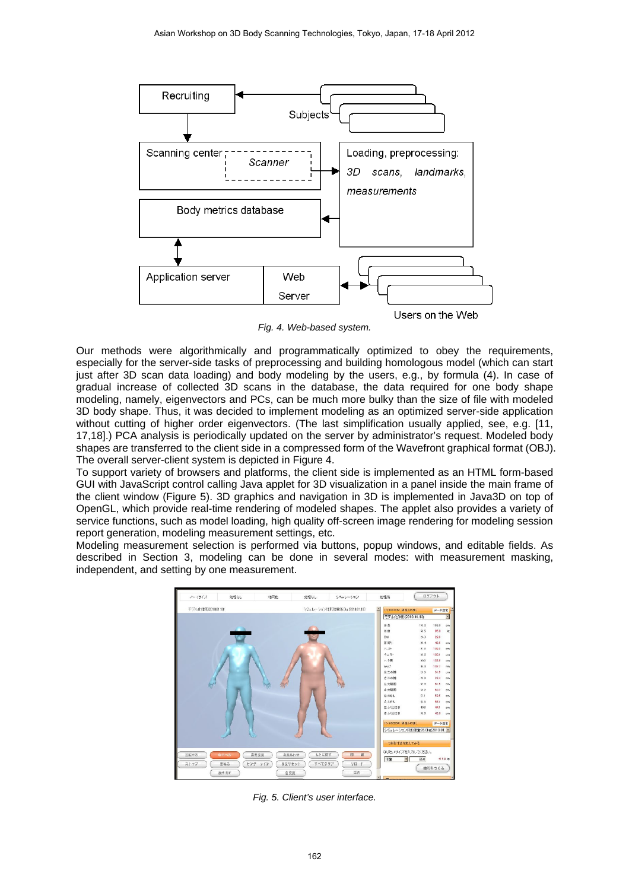

*Fig. 4. Web-based system.*

Our methods were algorithmically and programmatically optimized to obey the requirements, especially for the server-side tasks of preprocessing and building homologous model (which can start just after 3D scan data loading) and body modeling by the users, e.g., by formula (4). In case of gradual increase of collected 3D scans in the database, the data required for one body shape modeling, namely, eigenvectors and PCs, can be much more bulky than the size of file with modeled 3D body shape. Thus, it was decided to implement modeling as an optimized server-side application without cutting of higher order eigenvectors. (The last simplification usually applied, see, e.g. [11, 17,18].) PCA analysis is periodically updated on the server by administrator's request. Modeled body shapes are transferred to the client side in a compressed form of the Wavefront graphical format (OBJ). The overall server-client system is depicted in Figure 4.

To support variety of browsers and platforms, the client side is implemented as an HTML form-based GUI with JavaScript control calling Java applet for 3D visualization in a panel inside the main frame of the client window (Figure 5). 3D graphics and navigation in 3D is implemented in Java3D on top of OpenGL, which provide real-time rendering of modeled shapes. The applet also provides a variety of service functions, such as model loading, high quality off-screen image rendering for modeling session report generation, modeling measurement settings, etc.

Modeling measurement selection is performed via buttons, popup windows, and editable fields. As described in Section 3, modeling can be done in several modes: with measurement masking, independent, and setting by one measurement.



*Fig. 5. Client's user interface.*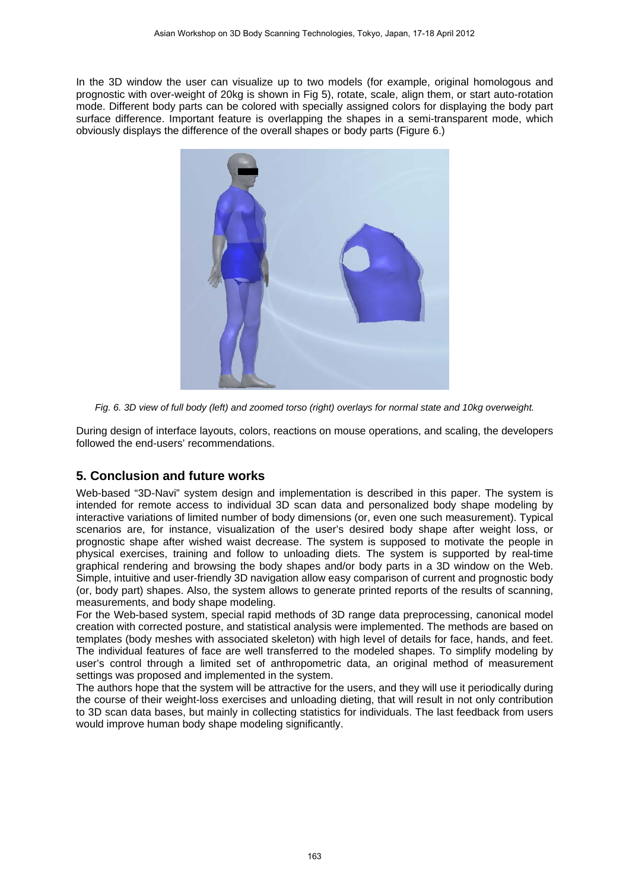In the 3D window the user can visualize up to two models (for example, original homologous and prognostic with over-weight of 20kg is shown in Fig 5), rotate, scale, align them, or start auto-rotation mode. Different body parts can be colored with specially assigned colors for displaying the body part surface difference. Important feature is overlapping the shapes in a semi-transparent mode, which obviously displays the difference of the overall shapes or body parts (Figure 6.)



*Fig. 6. 3D view of full body (left) and zoomed torso (right) overlays for normal state and 10kg overweight.*

During design of interface layouts, colors, reactions on mouse operations, and scaling, the developers followed the end-users' recommendations.

# **5. Conclusion and future works**

Web-based "3D-Navi" system design and implementation is described in this paper. The system is intended for remote access to individual 3D scan data and personalized body shape modeling by interactive variations of limited number of body dimensions (or, even one such measurement). Typical scenarios are, for instance, visualization of the user's desired body shape after weight loss, or prognostic shape after wished waist decrease. The system is supposed to motivate the people in physical exercises, training and follow to unloading diets. The system is supported by real-time graphical rendering and browsing the body shapes and/or body parts in a 3D window on the Web. Simple, intuitive and user-friendly 3D navigation allow easy comparison of current and prognostic body (or, body part) shapes. Also, the system allows to generate printed reports of the results of scanning, measurements, and body shape modeling.

For the Web-based system, special rapid methods of 3D range data preprocessing, canonical model creation with corrected posture, and statistical analysis were implemented. The methods are based on templates (body meshes with associated skeleton) with high level of details for face, hands, and feet. The individual features of face are well transferred to the modeled shapes. To simplify modeling by user's control through a limited set of anthropometric data, an original method of measurement settings was proposed and implemented in the system.

The authors hope that the system will be attractive for the users, and they will use it periodically during the course of their weight-loss exercises and unloading dieting, that will result in not only contribution to 3D scan data bases, but mainly in collecting statistics for individuals. The last feedback from users would improve human body shape modeling significantly.